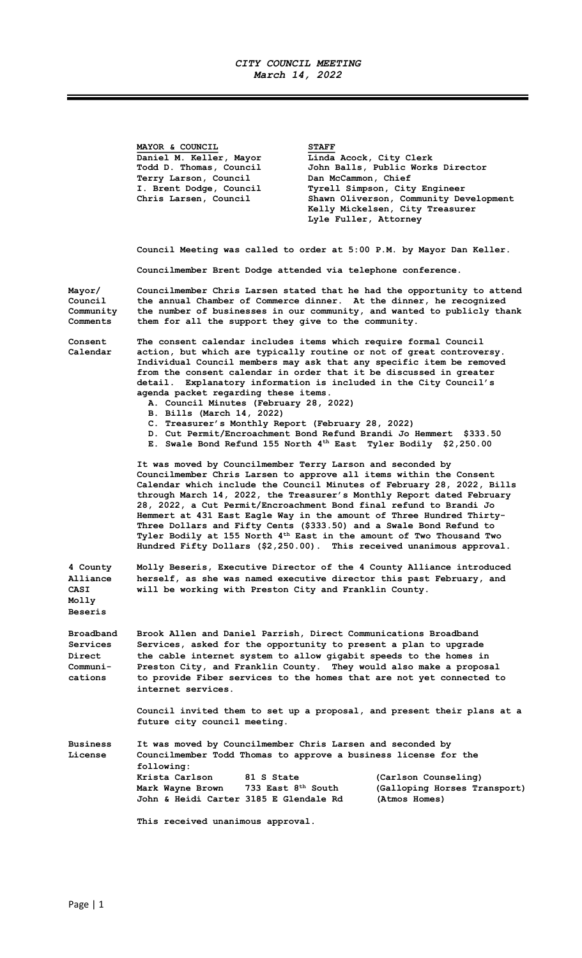## CITY COUNCIL MEETING March 14, 2022

MAYOR & COUNCIL STAFF Daniel M. Keller, Mayor Linda Acock, City Clerk Todd D. Thomas, Council John Balls, Public Works Director Terry Larson, Council Dan McCammon, Chief I. Brent Dodge, Council Tyrell Simpson, City Engineer<br>Chris Larsen, Council Shawn Oliverson, Community De Chris Larsen, Council Shawn Oliverson, Community Development Kelly Mickelsen, City Treasurer Lyle Fuller, Attorney Council Meeting was called to order at 5:00 P.M. by Mayor Dan Keller. Councilmember Brent Dodge attended via telephone conference. Mayor/ Councilmember Chris Larsen stated that he had the opportunity to attend<br>Council the annual Chamber of Commerce dinner. At the dinner, he recognized Council the annual Chamber of Commerce dinner. At the dinner, he recognized Community the number of businesses in our community, and wanted to publicly thank Comments them for all the support they give to the community. Consent The consent calendar includes items which require formal Council Calendar action, but which are typically routine or not of great controversy. Individual Council members may ask that any specific item be removed from the consent calendar in order that it be discussed in greater detail. Explanatory information is included in the City Council's agenda packet regarding these items. A. Council Minutes (February 28, 2022) B. Bills (March 14, 2022) C. Treasurer's Monthly Report (February 28, 2022) D. Cut Permit/Encroachment Bond Refund Brandi Jo Hemmert \$333.50 E. Swale Bond Refund 155 North 4<sup>th</sup> East Tyler Bodily \$2,250.00 It was moved by Councilmember Terry Larson and seconded by Councilmember Chris Larsen to approve all items within the Consent Calendar which include the Council Minutes of February 28, 2022, Bills through March 14, 2022, the Treasurer's Monthly Report dated February 28, 2022, a Cut Permit/Encroachment Bond final refund to Brandi Jo Hemmert at 431 East Eagle Way in the amount of Three Hundred Thirty-Three Dollars and Fifty Cents (\$333.50) and a Swale Bond Refund to Tyler Bodily at 155 North 4th East in the amount of Two Thousand Two Hundred Fifty Dollars (\$2,250.00). This received unanimous approval. 4 County Molly Beseris, Executive Director of the 4 County Alliance introduced Alliance herself, as she was named executive director this past February, and CASI will be working with Preston City and Franklin County. Molly Beseris Broadband Brook Allen and Daniel Parrish, Direct Communications Broadband Services Services, asked for the opportunity to present a plan to upgrade Direct the cable internet system to allow gigabit speeds to the homes in Communi- Preston City, and Franklin County. They would also make a proposal cations to provide Fiber services to the homes that are not yet connected to internet services. Council invited them to set up a proposal, and present their plans at a future city council meeting. Business It was moved by Councilmember Chris Larsen and seconded by License Councilmember Todd Thomas to approve a business license for the following: Krista Carlson 81 S State (Carlson Counseling) Mark Wayne Brown 733 East 8<sup>th</sup> South (Galloping Horses Transport) John & Heidi Carter 3185 E Glendale Rd (Atmos Homes) This received unanimous approval.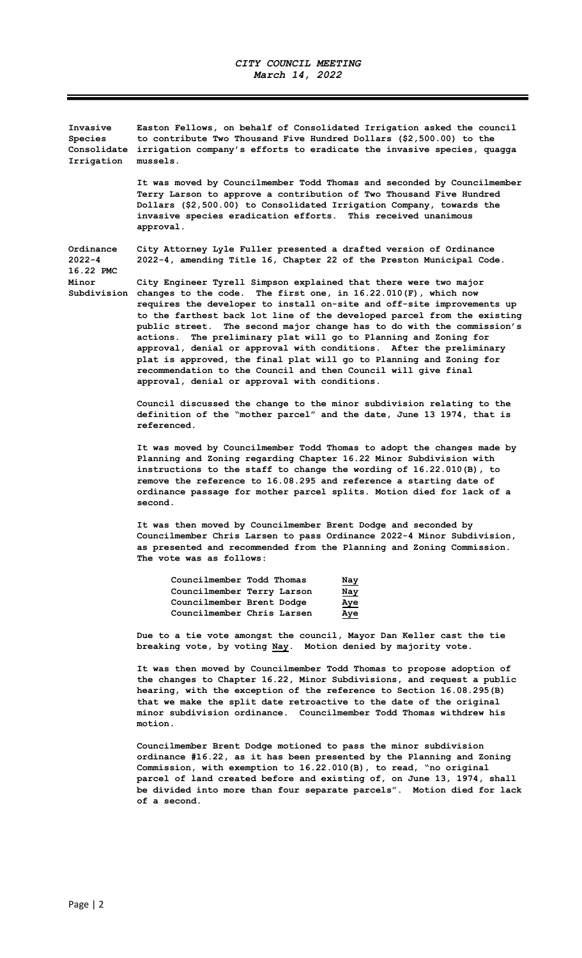Invasive Easton Fellows, on behalf of Consolidated Irrigation asked the council Species to contribute Two Thousand Five Hundred Dollars (\$2,500.00) to the Consolidate irrigation company's efforts to eradicate the invasive species, quagga Irrigation mussels.

> It was moved by Councilmember Todd Thomas and seconded by Councilmember Terry Larson to approve a contribution of Two Thousand Five Hundred Dollars (\$2,500.00) to Consolidated Irrigation Company, towards the invasive species eradication efforts. This received unanimous approval.

Ordinance City Attorney Lyle Fuller presented a drafted version of Ordinance 2022-4 2022-4, amending Title 16, Chapter 22 of the Preston Municipal Code. 16.22 PMC

Minor City Engineer Tyrell Simpson explained that there were two major Subdivision changes to the code. The first one, in 16.22.010(F), which now requires the developer to install on-site and off-site improvements up to the farthest back lot line of the developed parcel from the existing public street. The second major change has to do with the commission's actions. The preliminary plat will go to Planning and Zoning for approval, denial or approval with conditions. After the preliminary plat is approved, the final plat will go to Planning and Zoning for recommendation to the Council and then Council will give final

> Council discussed the change to the minor subdivision relating to the definition of the "mother parcel" and the date, June 13 1974, that is referenced.

 It was moved by Councilmember Todd Thomas to adopt the changes made by Planning and Zoning regarding Chapter 16.22 Minor Subdivision with instructions to the staff to change the wording of 16.22.010(B), to remove the reference to 16.08.295 and reference a starting date of ordinance passage for mother parcel splits. Motion died for lack of a second.

 It was then moved by Councilmember Brent Dodge and seconded by Councilmember Chris Larsen to pass Ordinance 2022-4 Minor Subdivision, as presented and recommended from the Planning and Zoning Commission. The vote was as follows:

| Councilmember Todd Thomas  | Nay        |
|----------------------------|------------|
| Councilmember Terry Larson | <u>Nay</u> |
| Councilmember Brent Dodge  | <u>Aye</u> |
| Councilmember Chris Larsen | Aye        |

approval, denial or approval with conditions.

 Due to a tie vote amongst the council, Mayor Dan Keller cast the tie breaking vote, by voting Nay. Motion denied by majority vote.

 It was then moved by Councilmember Todd Thomas to propose adoption of the changes to Chapter 16.22, Minor Subdivisions, and request a public hearing, with the exception of the reference to Section 16.08.295(B) that we make the split date retroactive to the date of the original minor subdivision ordinance. Councilmember Todd Thomas withdrew his motion.

 Councilmember Brent Dodge motioned to pass the minor subdivision ordinance #16.22, as it has been presented by the Planning and Zoning Commission, with exemption to 16.22.010(B), to read, "no original parcel of land created before and existing of, on June 13, 1974, shall be divided into more than four separate parcels". Motion died for lack of a second.